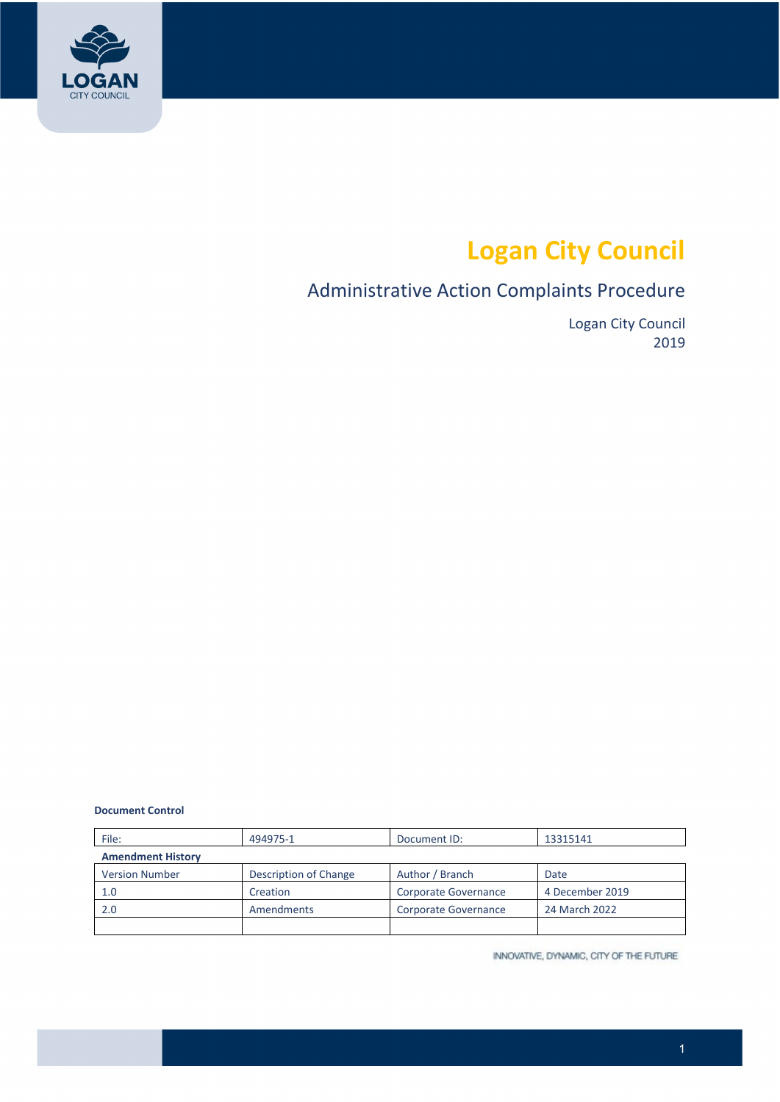

# **Logan City Council**

# Administrative Action Complaints Procedure

Logan City Council 2019

#### **Document Control**

| File:                    | 494975-1              | Document ID:         | 13315141        |  |
|--------------------------|-----------------------|----------------------|-----------------|--|
| <b>Amendment History</b> |                       |                      |                 |  |
| <b>Version Number</b>    | Description of Change | Author / Branch      | Date            |  |
| 1.0                      | Creation              | Corporate Governance | 4 December 2019 |  |
| 2.0                      | Amendments            | Corporate Governance | 24 March 2022   |  |
|                          |                       |                      |                 |  |

INNOVATIVE, DYNAMIC, CITY OF THE FUTURE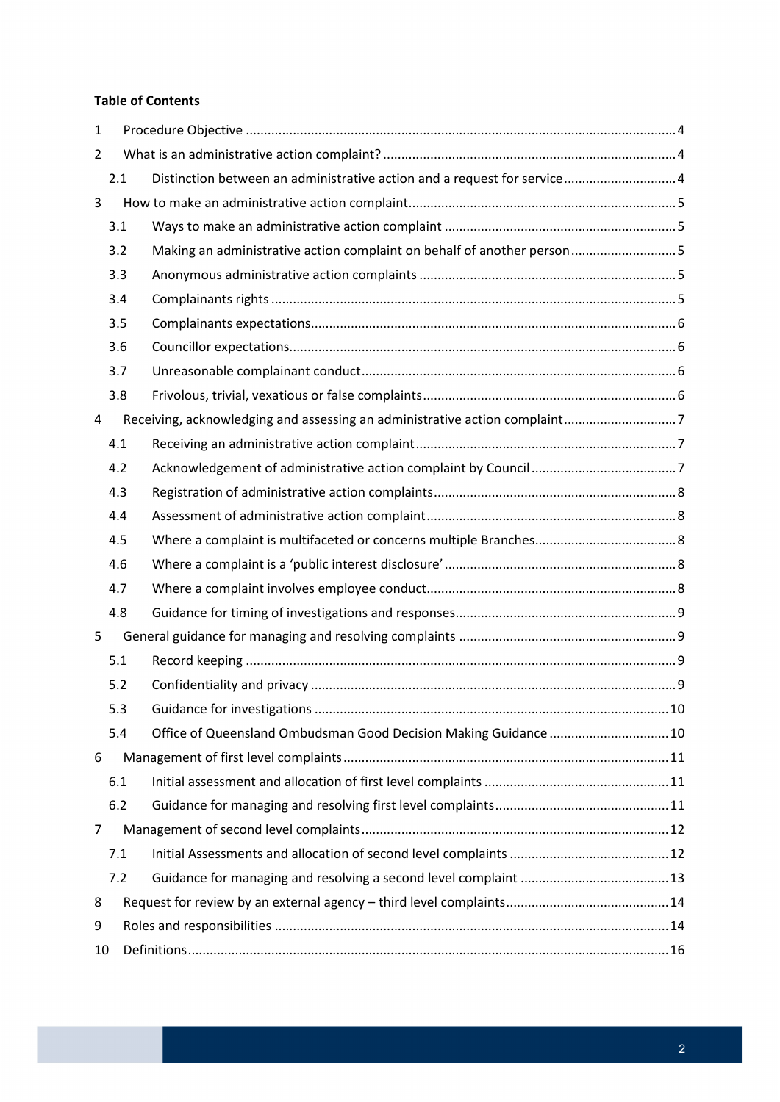#### **Table of Contents**

| $\mathbf{1}$   |     |                                                                            |  |
|----------------|-----|----------------------------------------------------------------------------|--|
| $\overline{2}$ |     |                                                                            |  |
|                | 2.1 | Distinction between an administrative action and a request for service 4   |  |
| 3              |     |                                                                            |  |
|                | 3.1 |                                                                            |  |
|                | 3.2 | Making an administrative action complaint on behalf of another person5     |  |
|                | 3.3 |                                                                            |  |
|                | 3.4 |                                                                            |  |
|                | 3.5 |                                                                            |  |
|                | 3.6 |                                                                            |  |
|                | 3.7 |                                                                            |  |
|                | 3.8 |                                                                            |  |
| 4              |     | Receiving, acknowledging and assessing an administrative action complaint7 |  |
|                | 4.1 |                                                                            |  |
|                | 4.2 |                                                                            |  |
|                | 4.3 |                                                                            |  |
|                | 4.4 |                                                                            |  |
|                | 4.5 |                                                                            |  |
|                | 4.6 |                                                                            |  |
|                | 4.7 |                                                                            |  |
|                | 4.8 |                                                                            |  |
| 5              |     |                                                                            |  |
|                | 5.1 |                                                                            |  |
|                | 5.2 |                                                                            |  |
|                | 5.3 |                                                                            |  |
|                | 5.4 | Office of Queensland Ombudsman Good Decision Making Guidance  10           |  |
| 6              |     |                                                                            |  |
|                | 6.1 |                                                                            |  |
|                | 6.2 |                                                                            |  |
| 7              |     |                                                                            |  |
|                | 7.1 |                                                                            |  |
|                | 7.2 |                                                                            |  |
| 8              |     |                                                                            |  |
| 9              |     |                                                                            |  |
| 10             |     |                                                                            |  |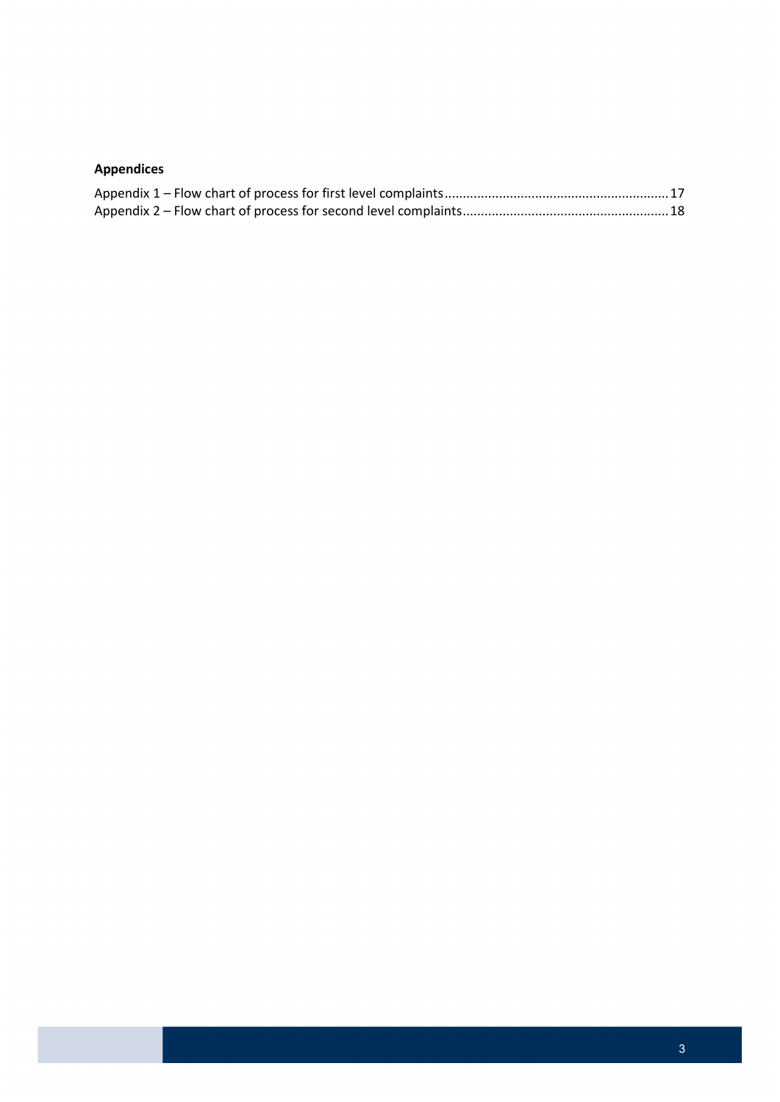## **Appendices**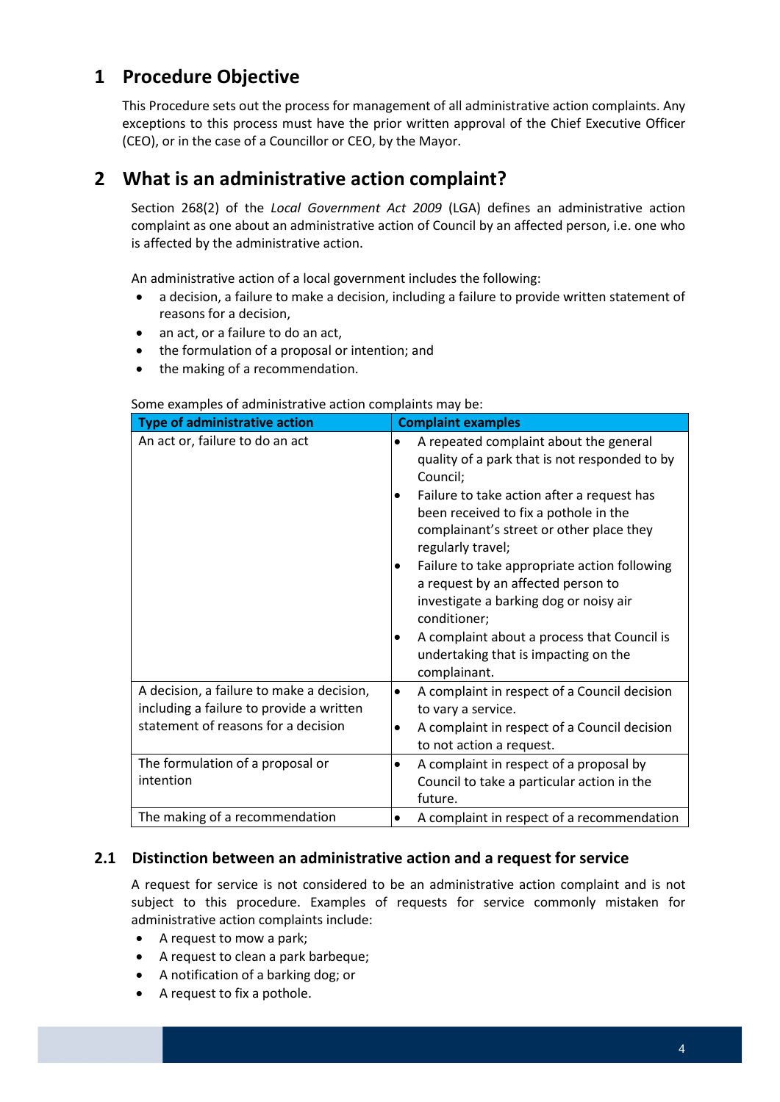# <span id="page-3-0"></span>**1 Procedure Objective**

This Procedure sets out the process for management of all administrative action complaints. Any exceptions to this process must have the prior written approval of the Chief Executive Officer (CEO), or in the case of a Councillor or CEO, by the Mayor.

# <span id="page-3-1"></span>**2 What is an administrative action complaint?**

 Section 268(2) of the *Local Government Act 2009* (LGA) defines an administrative action complaint as one about an administrative action of Council by an affected person, i.e. one who is affected by the administrative action.

An administrative action of a local government includes the following:

- a decision, a failure to make a decision, including a failure to provide written statement of reasons for a decision,
- an act, or a failure to do an act,
- the formulation of a proposal or intention; and
- the making of a recommendation.

#### Some examples of administrative action complaints may be:

| <b>Type of administrative action</b>      | <b>Complaint examples</b>                                                                                                                            |
|-------------------------------------------|------------------------------------------------------------------------------------------------------------------------------------------------------|
| An act or, failure to do an act           | A repeated complaint about the general<br>quality of a park that is not responded to by<br>Council;                                                  |
|                                           | Failure to take action after a request has<br>been received to fix a pothole in the<br>complainant's street or other place they<br>regularly travel; |
|                                           | Failure to take appropriate action following<br>٠<br>a request by an affected person to<br>investigate a barking dog or noisy air<br>conditioner;    |
|                                           | A complaint about a process that Council is<br>undertaking that is impacting on the<br>complainant.                                                  |
| A decision, a failure to make a decision, | A complaint in respect of a Council decision<br>٠                                                                                                    |
| including a failure to provide a written  | to vary a service.                                                                                                                                   |
| statement of reasons for a decision       | A complaint in respect of a Council decision<br>٠                                                                                                    |
|                                           | to not action a request.                                                                                                                             |
| The formulation of a proposal or          | A complaint in respect of a proposal by<br>$\bullet$                                                                                                 |
| intention                                 | Council to take a particular action in the<br>future.                                                                                                |
| The making of a recommendation            | A complaint in respect of a recommendation                                                                                                           |

#### <span id="page-3-2"></span>**2.1 Distinction between an administrative action and a request for service**

A request for service is not considered to be an administrative action complaint and is not subject to this procedure. Examples of requests for service commonly mistaken for administrative action complaints include:

- A request to mow a park;
- A request to clean a park barbeque;
- A notification of a barking dog; or
- A request to fix a pothole.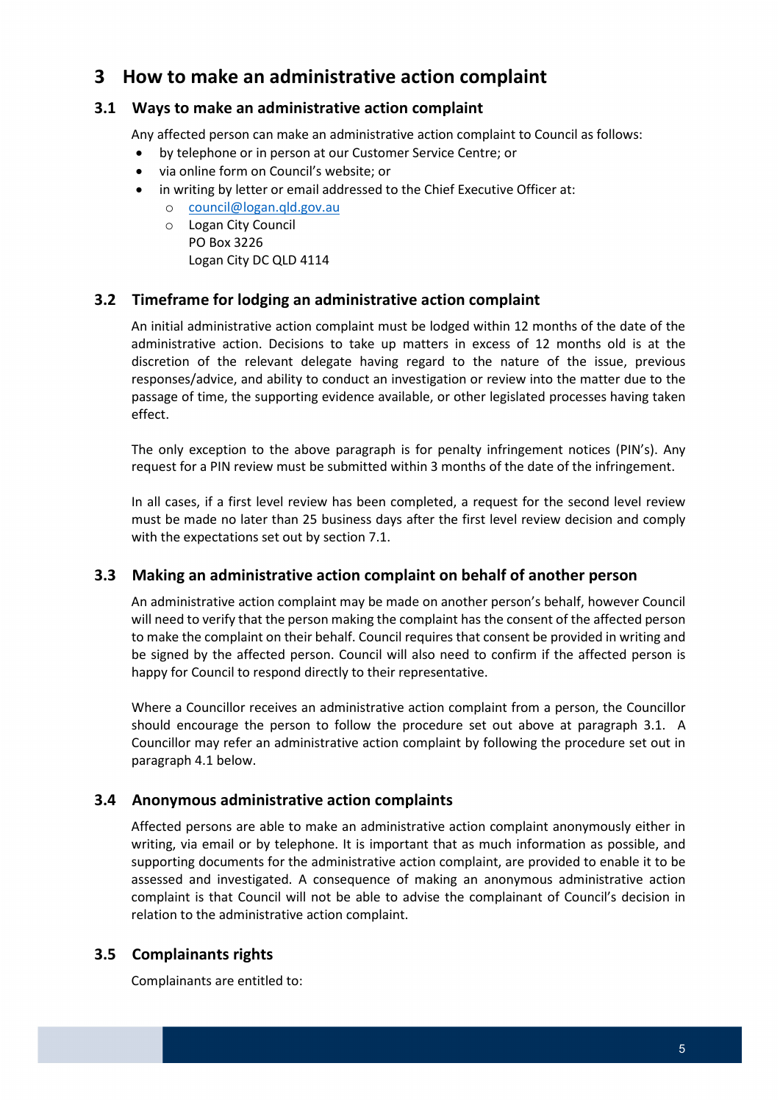# <span id="page-4-0"></span> **3 How to make an administrative action complaint**

### <span id="page-4-1"></span>**3.1 Ways to make an administrative action complaint**

Any affected person can make an administrative action complaint to Council as follows:

- by telephone or in person at our Customer Service Centre; or
- via online form on Council's website; or
- • in writing by letter or email addressed to the Chief Executive Officer at:
	- o [council@logan.qld.gov.au](mailto:council@logan.qld.gov.au)
	- Logan City DC QLD 4114 o Logan City Council PO Box 3226

### <span id="page-4-2"></span>**3.2 Timeframe for lodging an administrative action complaint**

 An initial administrative action complaint must be lodged within 12 months of the date of the responses/advice, and ability to conduct an investigation or review into the matter due to the administrative action. Decisions to take up matters in excess of 12 months old is at the discretion of the relevant delegate having regard to the nature of the issue, previous passage of time, the supporting evidence available, or other legislated processes having taken effect.

 The only exception to the above paragraph is for penalty infringement notices (PIN's). Any request for a PIN review must be submitted within 3 months of the date of the infringement.

In all cases, if a first level review has been completed, a request for the second level review must be made no later than 25 business days after the first level review decision and comply with the expectations set out by section 7.1.

### **3.3 Making an administrative action complaint on behalf of another person**

 An administrative action complaint may be made on another person's behalf, however Council will need to verify that the person making the complaint has the consent of the affected person to make the complaint on their behalf. Council requires that consent be provided in writing and be signed by the affected person. Council will also need to confirm if the affected person is happy for Council to respond directly to their representative.

 should encourage the person to follow the procedure set out above at paragraph 3.1. A paragraph 4.1 below. Where a Councillor receives an administrative action complaint from a person, the Councillor Councillor may refer an administrative action complaint by following the procedure set out in

### <span id="page-4-3"></span>**3.4 Anonymous administrative action complaints**

 Affected persons are able to make an administrative action complaint anonymously either in supporting documents for the administrative action complaint, are provided to enable it to be writing, via email or by telephone. It is important that as much information as possible, and assessed and investigated. A consequence of making an anonymous administrative action complaint is that Council will not be able to advise the complainant of Council's decision in relation to the administrative action complaint.

# <span id="page-4-4"></span>**3.5 Complainants rights**

Complainants are entitled to: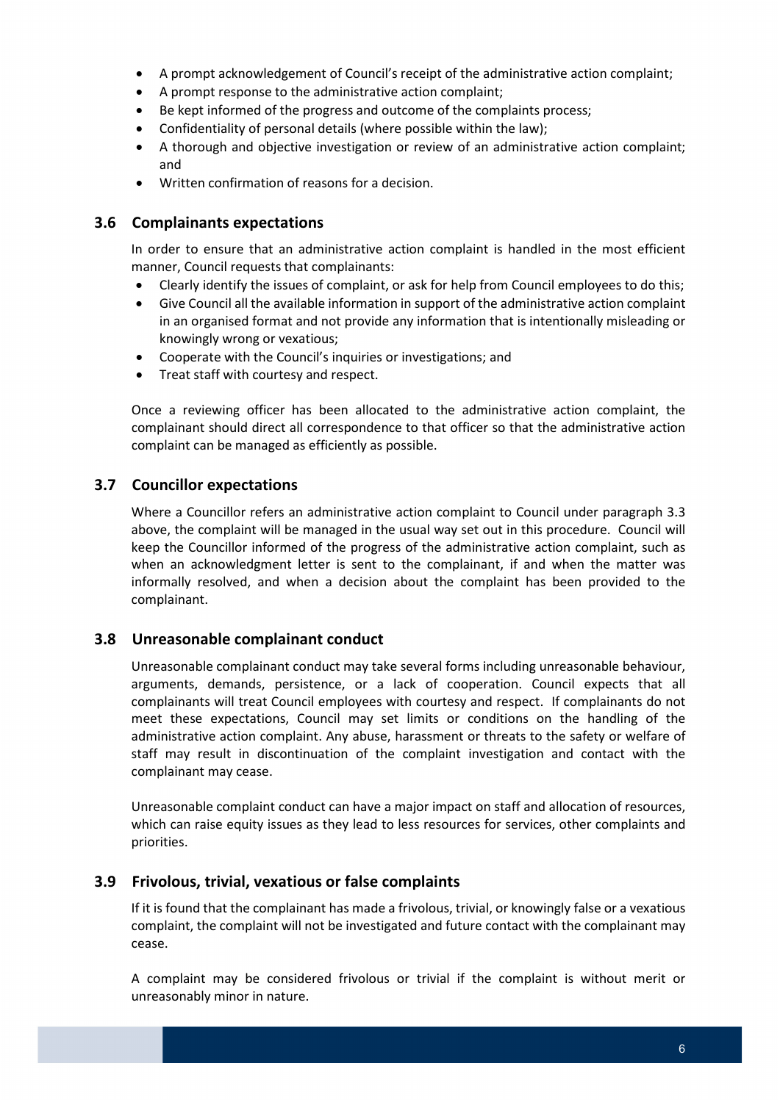- A prompt acknowledgement of Council's receipt of the administrative action complaint;
- A prompt response to the administrative action complaint;
- Be kept informed of the progress and outcome of the complaints process;
- Confidentiality of personal details (where possible within the law);
- A thorough and objective investigation or review of an administrative action complaint; and
- Written confirmation of reasons for a decision.

#### <span id="page-5-0"></span>**3.6 Complainants expectations**

 In order to ensure that an administrative action complaint is handled in the most efficient manner, Council requests that complainants:

- Clearly identify the issues of complaint, or ask for help from Council employees to do this;
- • Give Council all the available information in support of the administrative action complaint in an organised format and not provide any information that is intentionally misleading or knowingly wrong or vexatious;
- Cooperate with the Council's inquiries or investigations; and
- Treat staff with courtesy and respect.

 complainant should direct all correspondence to that officer so that the administrative action Once a reviewing officer has been allocated to the administrative action complaint, the complaint can be managed as efficiently as possible.

#### <span id="page-5-1"></span>**3.7 Councillor expectations**

 above, the complaint will be managed in the usual way set out in this procedure. Council will keep the Councillor informed of the progress of the administrative action complaint, such as when an acknowledgment letter is sent to the complainant, if and when the matter was informally resolved, and when a decision about the complaint has been provided to the Where a Councillor refers an administrative action complaint to Council under paragraph 3.3 complainant.

#### <span id="page-5-2"></span>**3.8 Unreasonable complainant conduct**

 Unreasonable complainant conduct may take several forms including unreasonable behaviour, arguments, demands, persistence, or a lack of cooperation. Council expects that all administrative action complaint. Any abuse, harassment or threats to the safety or welfare of staff may result in discontinuation of the complaint investigation and contact with the complainants will treat Council employees with courtesy and respect. If complainants do not meet these expectations, Council may set limits or conditions on the handling of the complainant may cease.

Unreasonable complaint conduct can have a major impact on staff and allocation of resources, which can raise equity issues as they lead to less resources for services, other complaints and priorities.

#### <span id="page-5-3"></span>**3.9 Frivolous, trivial, vexatious or false complaints**

 If it is found that the complainant has made a frivolous, trivial, or knowingly false or a vexatious complaint, the complaint will not be investigated and future contact with the complainant may cease.

A complaint may be considered frivolous or trivial if the complaint is without merit or unreasonably minor in nature.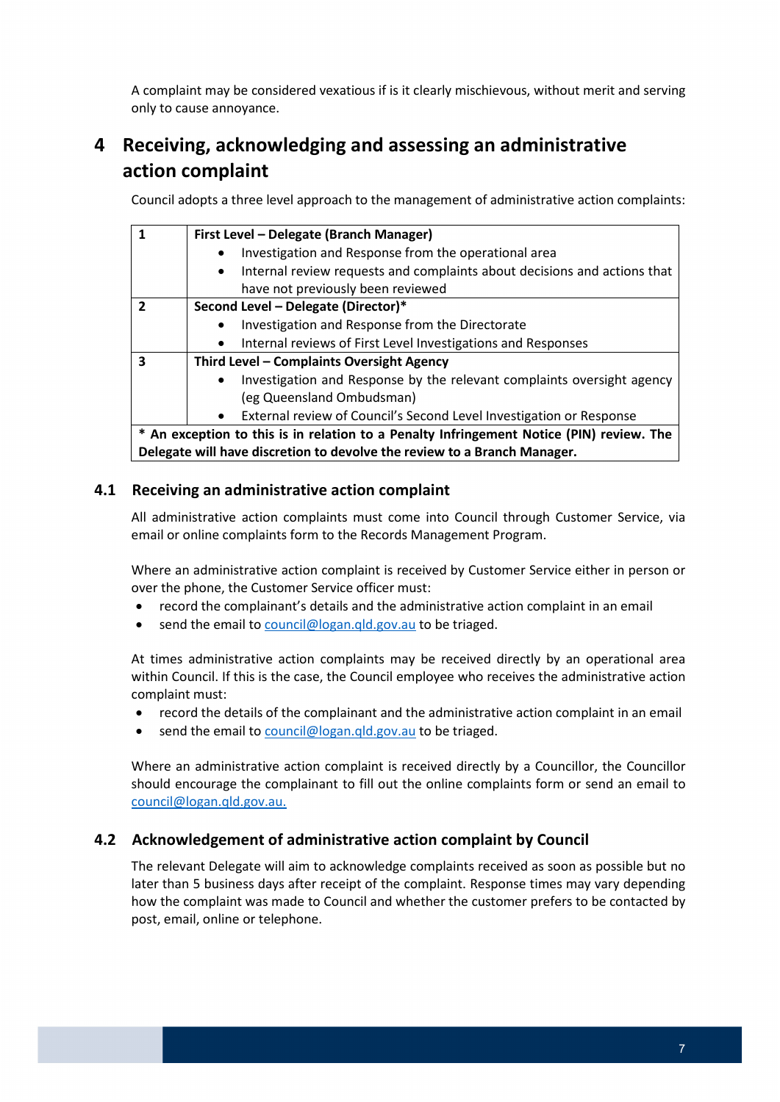A complaint may be considered vexatious if is it clearly mischievous, without merit and serving only to cause annoyance.

# <span id="page-6-0"></span>**4 Receiving, acknowledging and assessing an administrative action complaint**

Council adopts a three level approach to the management of administrative action complaints:

| 1                                                                                        | First Level - Delegate (Branch Manager)                                               |  |  |  |  |
|------------------------------------------------------------------------------------------|---------------------------------------------------------------------------------------|--|--|--|--|
|                                                                                          | Investigation and Response from the operational area                                  |  |  |  |  |
|                                                                                          | Internal review requests and complaints about decisions and actions that<br>$\bullet$ |  |  |  |  |
|                                                                                          | have not previously been reviewed                                                     |  |  |  |  |
| $\overline{2}$                                                                           | Second Level - Delegate (Director)*                                                   |  |  |  |  |
|                                                                                          | Investigation and Response from the Directorate                                       |  |  |  |  |
|                                                                                          | Internal reviews of First Level Investigations and Responses<br>$\bullet$             |  |  |  |  |
| 3<br>Third Level - Complaints Oversight Agency                                           |                                                                                       |  |  |  |  |
|                                                                                          | Investigation and Response by the relevant complaints oversight agency                |  |  |  |  |
|                                                                                          | (eg Queensland Ombudsman)                                                             |  |  |  |  |
|                                                                                          | External review of Council's Second Level Investigation or Response<br>$\bullet$      |  |  |  |  |
| * An exception to this is in relation to a Penalty Infringement Notice (PIN) review. The |                                                                                       |  |  |  |  |
|                                                                                          | Delegate will have discretion to devolve the review to a Branch Manager.              |  |  |  |  |

#### <span id="page-6-1"></span>**4.1 Receiving an administrative action complaint**

All administrative action complaints must come into Council through Customer Service, via email or online complaints form to the Records Management Program.

Where an administrative action complaint is received by Customer Service either in person or over the phone, the Customer Service officer must:

- record the complainant's details and the administrative action complaint in an email
- send the email to [council@logan.qld.gov.au](mailto:council@logan.qld.gov.au) to be triaged.

At times administrative action complaints may be received directly by an operational area within Council. If this is the case, the Council employee who receives the administrative action complaint must:

- record the details of the complainant and the administrative action complaint in an email
- send the email to [council@logan.qld.gov.au](mailto:council@logan.qld.gov.au) to be triaged.

 Where an administrative action complaint is received directly by a Councillor, the Councillor should encourage the complainant to fill out the online complaints form or send an email to [council@logan.qld.gov.au.](mailto:council@logan.qld.gov.au)

### <span id="page-6-2"></span>**4.2 Acknowledgement of administrative action complaint by Council**

 later than 5 business days after receipt of the complaint. Response times may vary depending how the complaint was made to Council and whether the customer prefers to be contacted by post, email, online or telephone. The relevant Delegate will aim to acknowledge complaints received as soon as possible but no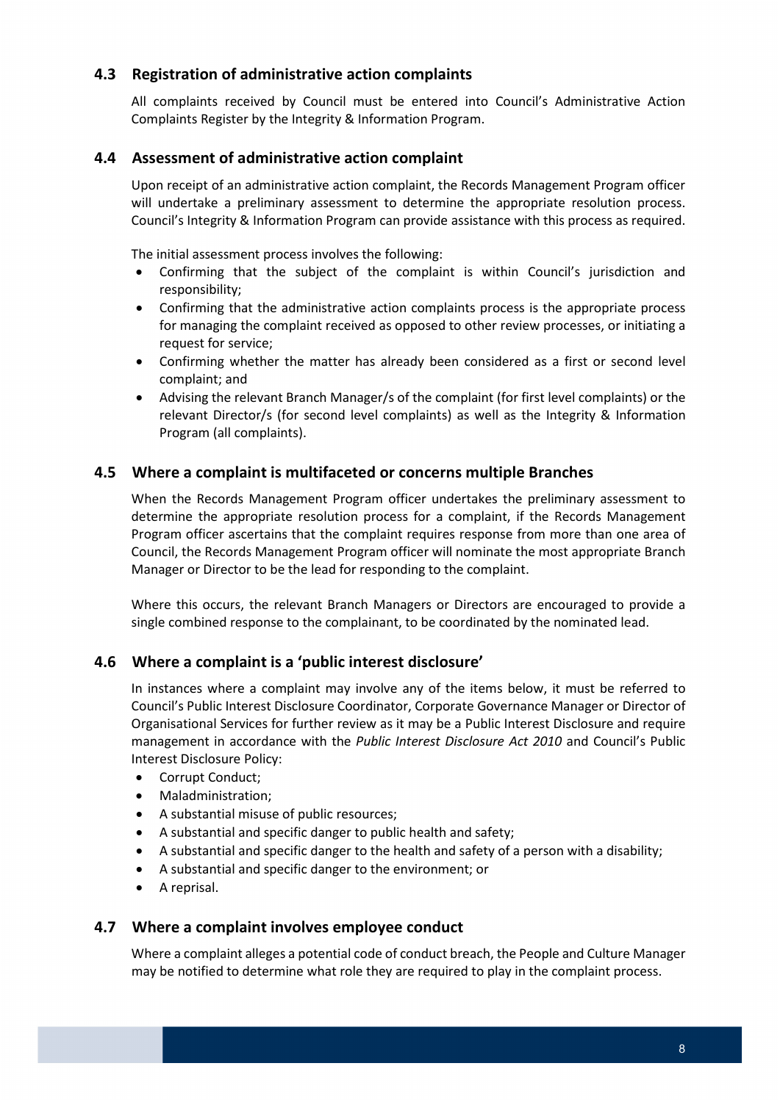# <span id="page-7-0"></span> **4.3 Registration of administrative action complaints**

 Complaints Register by the Integrity & Information Program. All complaints received by Council must be entered into Council's Administrative Action

#### <span id="page-7-1"></span>**4.4 Assessment of administrative action complaint**

 Upon receipt of an administrative action complaint, the Records Management Program officer will undertake a preliminary assessment to determine the appropriate resolution process. Council's Integrity & Information Program can provide assistance with this process as required.

The initial assessment process involves the following:

- Confirming that the subject of the complaint is within Council's jurisdiction and responsibility;
- for managing the complaint received as opposed to other review processes, or initiating a • Confirming that the administrative action complaints process is the appropriate process request for service;
- • Confirming whether the matter has already been considered as a first or second level complaint; and
- Advising the relevant Branch Manager/s of the complaint (for first level complaints) or the relevant Director/s (for second level complaints) as well as the Integrity & Information Program (all complaints).

# <span id="page-7-2"></span> **4.5 Where a complaint is multifaceted or concerns multiple Branches**

 When the Records Management Program officer undertakes the preliminary assessment to Council, the Records Management Program officer will nominate the most appropriate Branch determine the appropriate resolution process for a complaint, if the Records Management Program officer ascertains that the complaint requires response from more than one area of Manager or Director to be the lead for responding to the complaint.

Where this occurs, the relevant Branch Managers or Directors are encouraged to provide a single combined response to the complainant, to be coordinated by the nominated lead.

#### <span id="page-7-3"></span>**4.6 Where a complaint is a 'public interest disclosure'**

 Council's Public Interest Disclosure Coordinator, Corporate Governance Manager or Director of Organisational Services for further review as it may be a Public Interest Disclosure and require In instances where a complaint may involve any of the items below, it must be referred to management in accordance with the *Public Interest Disclosure Act 2010* and Council's Public Interest Disclosure Policy:

- Corrupt Conduct;
- Maladministration;
- A substantial misuse of public resources;
- A substantial and specific danger to public health and safety;
- A substantial and specific danger to the health and safety of a person with a disability;
- A substantial and specific danger to the environment; or
- A reprisal.

### <span id="page-7-4"></span> **4.7 Where a complaint involves employee conduct**

 Where a complaint alleges a potential code of conduct breach, the People and Culture Manager may be notified to determine what role they are required to play in the complaint process.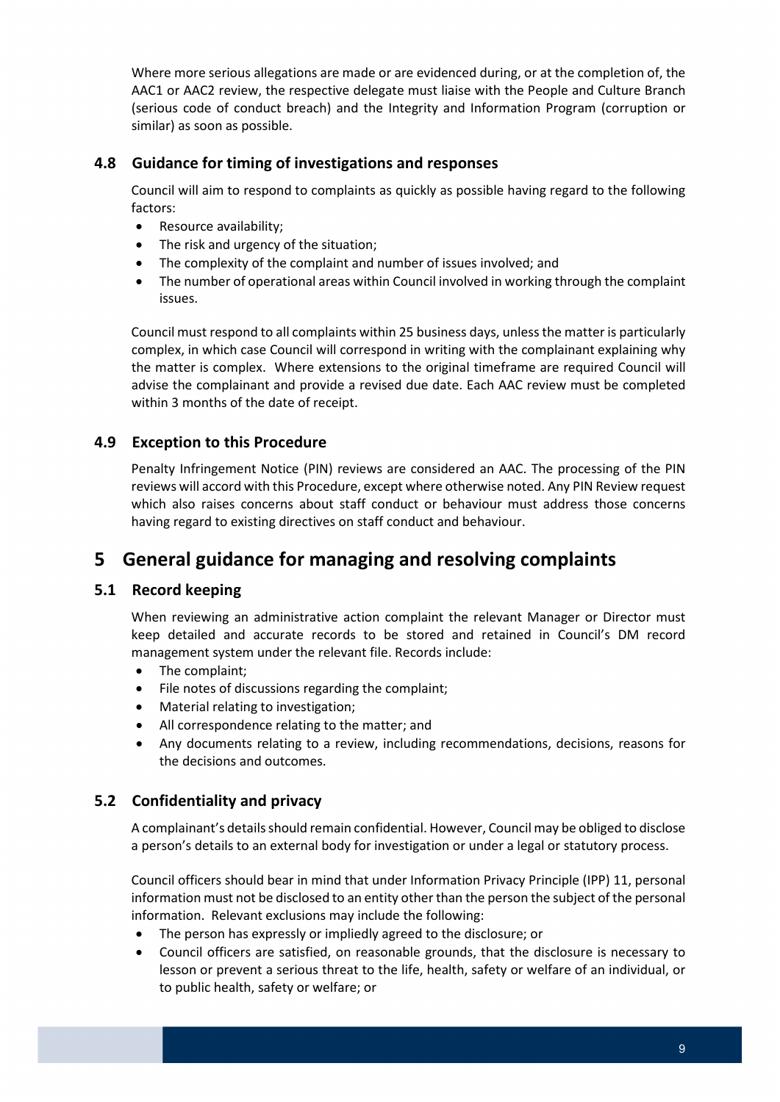Where more serious allegations are made or are evidenced during, or at the completion of, the (serious code of conduct breach) and the Integrity and Information Program (corruption or AAC1 or AAC2 review, the respective delegate must liaise with the People and Culture Branch similar) as soon as possible.

# <span id="page-8-0"></span> **4.8 Guidance for timing of investigations and responses**

Council will aim to respond to complaints as quickly as possible having regard to the following factors:

- Resource availability;
- The risk and urgency of the situation;
- The complexity of the complaint and number of issues involved; and
- The number of operational areas within Council involved in working through the complaint issues.

 Council must respond to all complaints within 25 business days, unless the matter is particularly the matter is complex. Where extensions to the original timeframe are required Council will within 3 months of the date of receipt. complex, in which case Council will correspond in writing with the complainant explaining why advise the complainant and provide a revised due date. Each AAC review must be completed

# **4.9 Exception to this Procedure**

 Penalty Infringement Notice (PIN) reviews are considered an AAC. The processing of the PIN which also raises concerns about staff conduct or behaviour must address those concerns reviews will accord with this Procedure, except where otherwise noted. Any PIN Review request having regard to existing directives on staff conduct and behaviour.

# <span id="page-8-1"></span> **5 General guidance for managing and resolving complaints**

### <span id="page-8-2"></span>**5.1 Record keeping**

When reviewing an administrative action complaint the relevant Manager or Director must keep detailed and accurate records to be stored and retained in Council's DM record management system under the relevant file. Records include:

- The complaint;
- File notes of discussions regarding the complaint;
- Material relating to investigation;
- All correspondence relating to the matter; and
- the decisions and outcomes. • Any documents relating to a review, including recommendations, decisions, reasons for

### <span id="page-8-3"></span>**5.2 Confidentiality and privacy**

A complainant's details should remain confidential. However, Council may be obliged to disclose a person's details to an external body for investigation or under a legal or statutory process.

 information must not be disclosed to an entity other than the person the subject of the personal Council officers should bear in mind that under Information Privacy Principle (IPP) 11, personal information. Relevant exclusions may include the following:

- The person has expressly or impliedly agreed to the disclosure; or
- to public health, safety or welfare; or • Council officers are satisfied, on reasonable grounds, that the disclosure is necessary to lesson or prevent a serious threat to the life, health, safety or welfare of an individual, or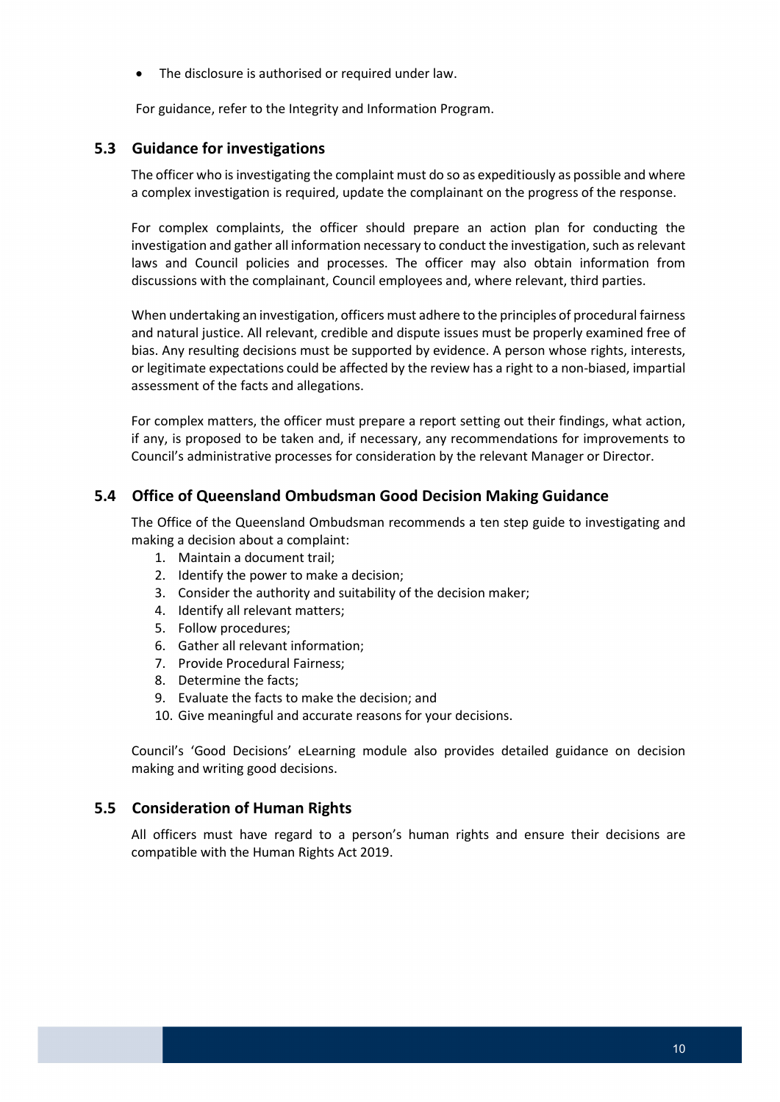• The disclosure is authorised or required under law.

For guidance, refer to the Integrity and Information Program.

### <span id="page-9-0"></span>**5.3 Guidance for investigations**

 The officer who is investigating the complaint must do so as expeditiously as possible and where a complex investigation is required, update the complainant on the progress of the response.

 discussions with the complainant, Council employees and, where relevant, third parties. For complex complaints, the officer should prepare an action plan for conducting the investigation and gather all information necessary to conduct the investigation, such as relevant laws and Council policies and processes. The officer may also obtain information from

 or legitimate expectations could be affected by the review has a right to a non-biased, impartial When undertaking an investigation, officers must adhere to the principles of procedural fairness and natural justice. All relevant, credible and dispute issues must be properly examined free of bias. Any resulting decisions must be supported by evidence. A person whose rights, interests, assessment of the facts and allegations.

 Council's administrative processes for consideration by the relevant Manager or Director. For complex matters, the officer must prepare a report setting out their findings, what action, if any, is proposed to be taken and, if necessary, any recommendations for improvements to

### <span id="page-9-1"></span>**5.4 Office of Queensland Ombudsman Good Decision Making Guidance**

The Office of the Queensland Ombudsman recommends a ten step guide to investigating and making a decision about a complaint:

- 1. Maintain a document trail;
- 2. Identify the power to make a decision;
- 3. Consider the authority and suitability of the decision maker;
- 4. Identify all relevant matters;
- 5. Follow procedures;
- 6. Gather all relevant information;
- 7. Provide Procedural Fairness;
- 8. Determine the facts;
- 9. Evaluate the facts to make the decision; and
- 10. Give meaningful and accurate reasons for your decisions.

Council's 'Good Decisions' eLearning module also provides detailed guidance on decision making and writing good decisions.

#### **5.5 Consideration of Human Rights**

 All officers must have regard to a person's human rights and ensure their decisions are compatible with the Human Rights Act 2019.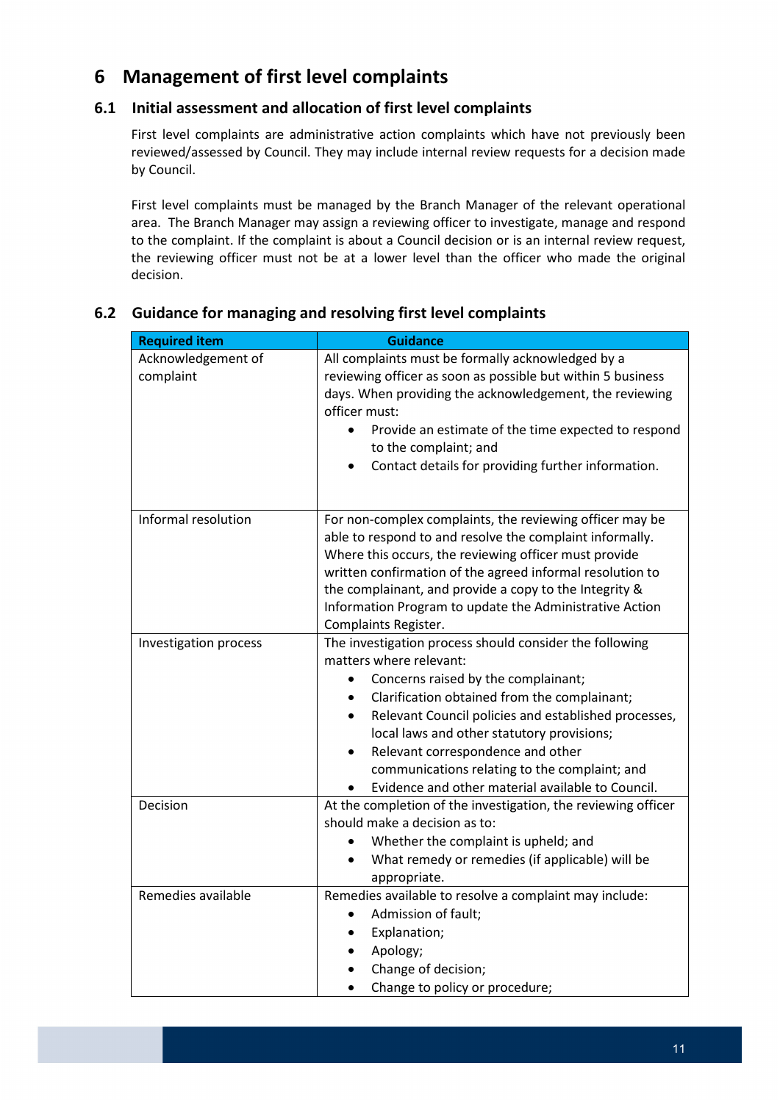# <span id="page-10-0"></span>**6 Management of first level complaints**

# <span id="page-10-1"></span> **6.1 Initial assessment and allocation of first level complaints**

 reviewed/assessed by Council. They may include internal review requests for a decision made First level complaints are administrative action complaints which have not previously been by Council.

 First level complaints must be managed by the Branch Manager of the relevant operational the reviewing officer must not be at a lower level than the officer who made the original area. The Branch Manager may assign a reviewing officer to investigate, manage and respond to the complaint. If the complaint is about a Council decision or is an internal review request, decision.

| <b>Required item</b>            | <b>Guidance</b>                                                                                                                                                                                                                                                                                                                                                                                                                         |
|---------------------------------|-----------------------------------------------------------------------------------------------------------------------------------------------------------------------------------------------------------------------------------------------------------------------------------------------------------------------------------------------------------------------------------------------------------------------------------------|
| Acknowledgement of<br>complaint | All complaints must be formally acknowledged by a<br>reviewing officer as soon as possible but within 5 business<br>days. When providing the acknowledgement, the reviewing<br>officer must:<br>Provide an estimate of the time expected to respond<br>to the complaint; and<br>Contact details for providing further information.                                                                                                      |
| Informal resolution             | For non-complex complaints, the reviewing officer may be<br>able to respond to and resolve the complaint informally.<br>Where this occurs, the reviewing officer must provide<br>written confirmation of the agreed informal resolution to<br>the complainant, and provide a copy to the Integrity &<br>Information Program to update the Administrative Action<br>Complaints Register.                                                 |
| Investigation process           | The investigation process should consider the following<br>matters where relevant:<br>Concerns raised by the complainant;<br>Clarification obtained from the complainant;<br>Relevant Council policies and established processes,<br>local laws and other statutory provisions;<br>Relevant correspondence and other<br>$\bullet$<br>communications relating to the complaint; and<br>Evidence and other material available to Council. |
| Decision                        | At the completion of the investigation, the reviewing officer<br>should make a decision as to:<br>Whether the complaint is upheld; and<br>What remedy or remedies (if applicable) will be<br>$\bullet$<br>appropriate.                                                                                                                                                                                                                  |
| Remedies available              | Remedies available to resolve a complaint may include:<br>Admission of fault;<br>$\bullet$<br>Explanation;<br>Apology;<br>Change of decision;<br>Change to policy or procedure;                                                                                                                                                                                                                                                         |

# <span id="page-10-2"></span>**6.2 Guidance for managing and resolving first level complaints**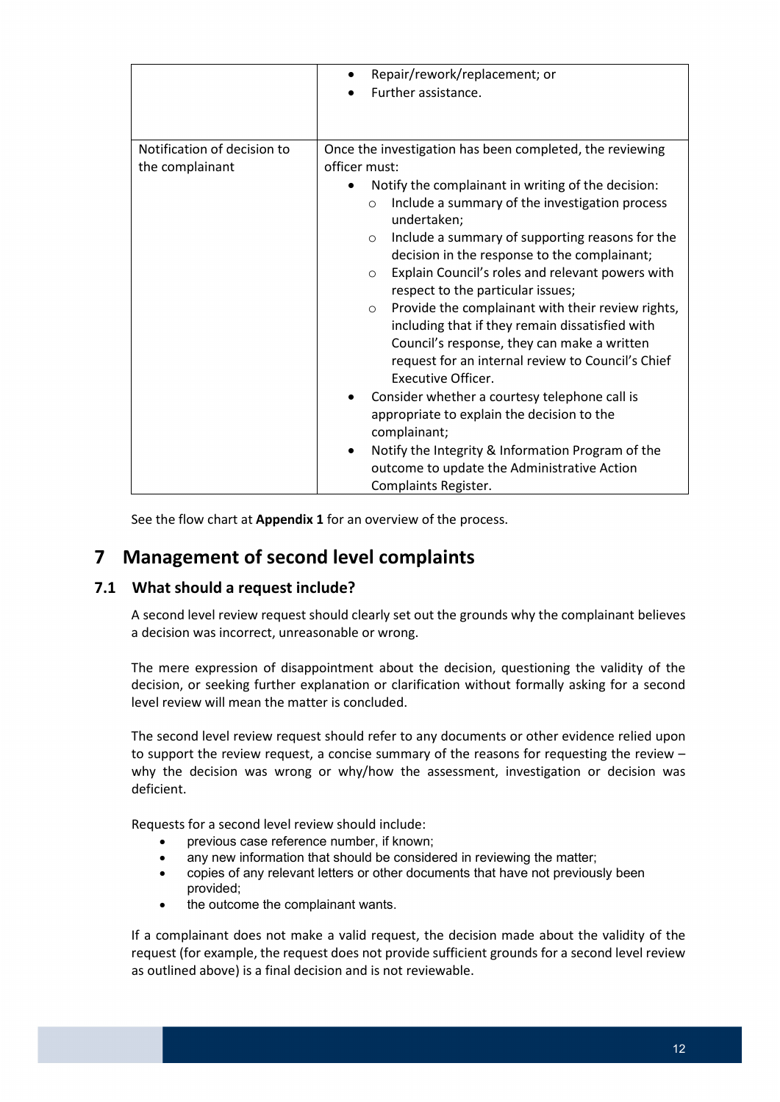|                                                | Repair/rework/replacement; or<br>$\bullet$<br>Further assistance.                                                                                                                                                                                                                                                                                                                                                                                                                                                                                                                                                                                                                                                                                                                                                                                                                                                     |
|------------------------------------------------|-----------------------------------------------------------------------------------------------------------------------------------------------------------------------------------------------------------------------------------------------------------------------------------------------------------------------------------------------------------------------------------------------------------------------------------------------------------------------------------------------------------------------------------------------------------------------------------------------------------------------------------------------------------------------------------------------------------------------------------------------------------------------------------------------------------------------------------------------------------------------------------------------------------------------|
| Notification of decision to<br>the complainant | Once the investigation has been completed, the reviewing<br>officer must:<br>Notify the complainant in writing of the decision:<br>Include a summary of the investigation process<br>$\circ$<br>undertaken;<br>Include a summary of supporting reasons for the<br>$\circ$<br>decision in the response to the complainant;<br>Explain Council's roles and relevant powers with<br>$\circ$<br>respect to the particular issues;<br>Provide the complainant with their review rights,<br>$\circ$<br>including that if they remain dissatisfied with<br>Council's response, they can make a written<br>request for an internal review to Council's Chief<br>Executive Officer.<br>Consider whether a courtesy telephone call is<br>appropriate to explain the decision to the<br>complainant;<br>Notify the Integrity & Information Program of the<br>outcome to update the Administrative Action<br>Complaints Register. |

See the flow chart at **Appendix 1** for an overview of the process.

# <span id="page-11-0"></span> **7 Management of second level complaints**

#### <span id="page-11-1"></span>**7.1 What should a request include?**

 A second level review request should clearly set out the grounds why the complainant believes a decision was incorrect, unreasonable or wrong.

 The mere expression of disappointment about the decision, questioning the validity of the decision, or seeking further explanation or clarification without formally asking for a second level review will mean the matter is concluded.

 The second level review request should refer to any documents or other evidence relied upon to support the review request, a concise summary of the reasons for requesting the review – why the decision was wrong or why/how the assessment, investigation or decision was deficient.

Requests for a second level review should include:

- previous case reference number, if known:
- any new information that should be considered in reviewing the matter;
- copies of any relevant letters or other documents that have not previously been provided;
- the outcome the complainant wants.

 If a complainant does not make a valid request, the decision made about the validity of the request (for example, the request does not provide sufficient grounds for a second level review as outlined above) is a final decision and is not reviewable.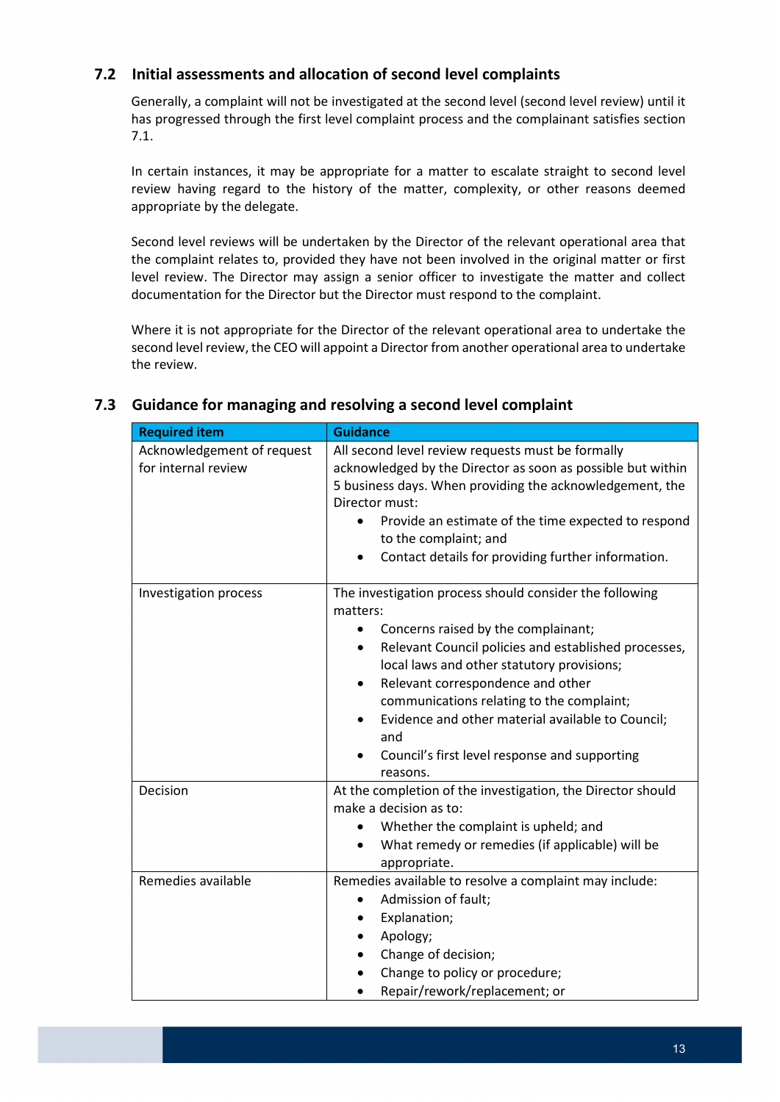### **7.2 Initial assessments and allocation of second level complaints**

Generally, a complaint will not be investigated at the second level (second level review) until it has progressed through the first level complaint process and the complainant satisfies section 7.1.

 review having regard to the history of the matter, complexity, or other reasons deemed In certain instances, it may be appropriate for a matter to escalate straight to second level appropriate by the delegate.

 level review. The Director may assign a senior officer to investigate the matter and collect documentation for the Director but the Director must respond to the complaint. Second level reviews will be undertaken by the Director of the relevant operational area that the complaint relates to, provided they have not been involved in the original matter or first

 second level review, the CEO will appoint a Director from another operational area to undertake Where it is not appropriate for the Director of the relevant operational area to undertake the the review.

# <span id="page-12-0"></span> **7.3 Guidance for managing and resolving a second level complaint**

| <b>Required item</b>                              | <b>Guidance</b>                                                                                                                                                                                                                                                                                                                                                                                                                               |
|---------------------------------------------------|-----------------------------------------------------------------------------------------------------------------------------------------------------------------------------------------------------------------------------------------------------------------------------------------------------------------------------------------------------------------------------------------------------------------------------------------------|
| Acknowledgement of request<br>for internal review | All second level review requests must be formally<br>acknowledged by the Director as soon as possible but within<br>5 business days. When providing the acknowledgement, the<br>Director must:<br>Provide an estimate of the time expected to respond<br>to the complaint; and<br>Contact details for providing further information.<br>$\bullet$                                                                                             |
| Investigation process                             | The investigation process should consider the following<br>matters:<br>Concerns raised by the complainant;<br>Relevant Council policies and established processes,<br>$\bullet$<br>local laws and other statutory provisions;<br>Relevant correspondence and other<br>٠<br>communications relating to the complaint;<br>Evidence and other material available to Council;<br>and<br>Council's first level response and supporting<br>reasons. |
| Decision                                          | At the completion of the investigation, the Director should<br>make a decision as to:<br>Whether the complaint is upheld; and<br>What remedy or remedies (if applicable) will be<br>appropriate.                                                                                                                                                                                                                                              |
| Remedies available                                | Remedies available to resolve a complaint may include:<br>Admission of fault;<br>Explanation;<br>Apology;<br>Change of decision;<br>Change to policy or procedure;<br>Repair/rework/replacement; or                                                                                                                                                                                                                                           |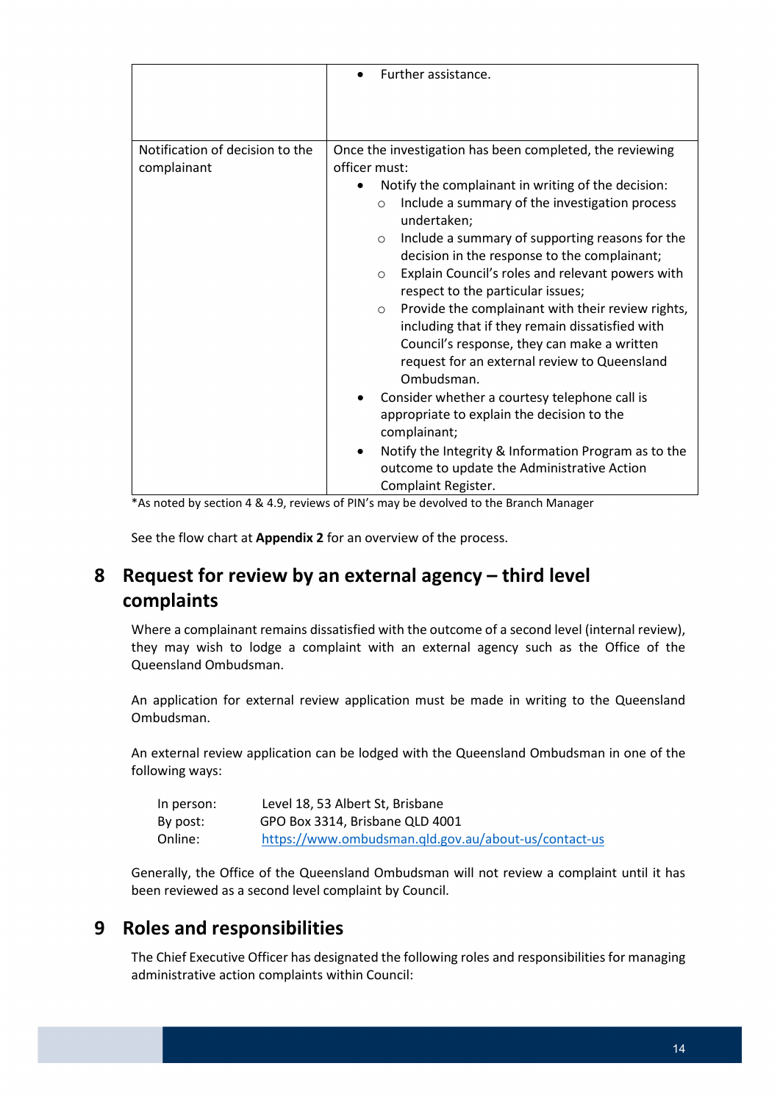|                                                | Further assistance.                                                                                                                                                                                                                                                                                                                                                                                                                                           |
|------------------------------------------------|---------------------------------------------------------------------------------------------------------------------------------------------------------------------------------------------------------------------------------------------------------------------------------------------------------------------------------------------------------------------------------------------------------------------------------------------------------------|
| Notification of decision to the<br>complainant | Once the investigation has been completed, the reviewing<br>officer must:<br>Notify the complainant in writing of the decision:<br>Include a summary of the investigation process<br>$\circ$                                                                                                                                                                                                                                                                  |
|                                                | undertaken;<br>Include a summary of supporting reasons for the<br>$\circ$<br>decision in the response to the complainant;<br>Explain Council's roles and relevant powers with<br>$\circ$<br>respect to the particular issues;<br>Provide the complainant with their review rights,<br>$\circ$<br>including that if they remain dissatisfied with<br>Council's response, they can make a written<br>request for an external review to Queensland<br>Ombudsman. |
|                                                | Consider whether a courtesy telephone call is<br>appropriate to explain the decision to the<br>complainant;<br>Notify the Integrity & Information Program as to the<br>outcome to update the Administrative Action<br>Complaint Register.                                                                                                                                                                                                                     |

\*As noted by section 4 & 4.9, reviews of PIN's may be devolved to the Branch Manager

See the flow chart at **Appendix 2** for an overview of the process.

# <span id="page-13-0"></span> **8 Request for review by an external agency – third level complaints**

 Where a complainant remains dissatisfied with the outcome of a second level (internal review), they may wish to lodge a complaint with an external agency such as the Office of the Queensland Ombudsman.

 An application for external review application must be made in writing to the Queensland Ombudsman.

An external review application can be lodged with the Queensland Ombudsman in one of the following ways:

| In person: | Level 18, 53 Albert St, Brisbane                     |
|------------|------------------------------------------------------|
| By post:   | GPO Box 3314. Brisbane QLD 4001                      |
| Online:    | https://www.ombudsman.qld.gov.au/about-us/contact-us |

Generally, the Office of the Queensland Ombudsman will not review a complaint until it has been reviewed as a second level complaint by Council.

# <span id="page-13-1"></span>**9 Roles and responsibilities**

 The Chief Executive Officer has designated the following roles and responsibilities for managing administrative action complaints within Council: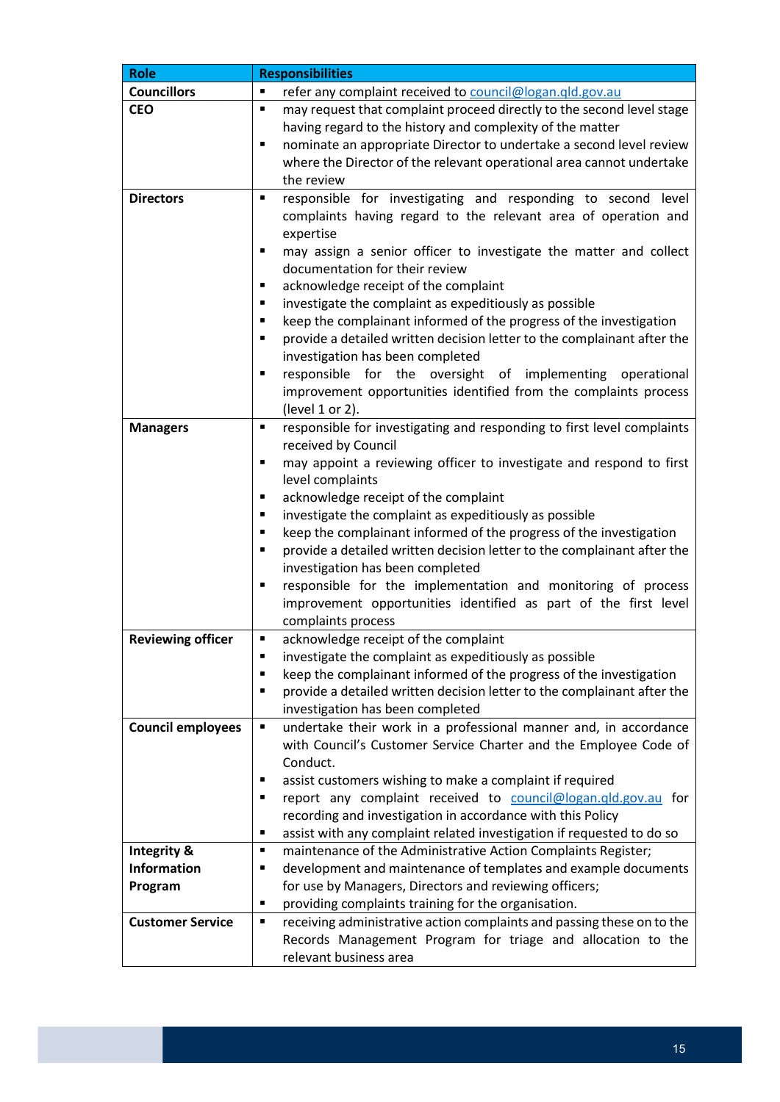| <b>Role</b>              | <b>Responsibilities</b>                                                                                                                          |  |  |  |
|--------------------------|--------------------------------------------------------------------------------------------------------------------------------------------------|--|--|--|
| <b>Councillors</b>       | ٠<br>refer any complaint received to council@logan.qld.gov.au                                                                                    |  |  |  |
| <b>CEO</b>               | may request that complaint proceed directly to the second level stage<br>Ξ                                                                       |  |  |  |
|                          | having regard to the history and complexity of the matter                                                                                        |  |  |  |
|                          | nominate an appropriate Director to undertake a second level review<br>Ξ                                                                         |  |  |  |
|                          | where the Director of the relevant operational area cannot undertake                                                                             |  |  |  |
|                          | the review                                                                                                                                       |  |  |  |
| <b>Directors</b>         | responsible for investigating and responding to second level<br>٠<br>complaints having regard to the relevant area of operation and<br>expertise |  |  |  |
|                          | may assign a senior officer to investigate the matter and collect<br>٠                                                                           |  |  |  |
|                          | documentation for their review                                                                                                                   |  |  |  |
|                          | acknowledge receipt of the complaint<br>٠                                                                                                        |  |  |  |
|                          | investigate the complaint as expeditiously as possible<br>٠                                                                                      |  |  |  |
|                          | keep the complainant informed of the progress of the investigation<br>Ξ                                                                          |  |  |  |
|                          | provide a detailed written decision letter to the complainant after the<br>٠<br>investigation has been completed                                 |  |  |  |
|                          | responsible for the oversight of implementing operational<br>٠                                                                                   |  |  |  |
|                          | improvement opportunities identified from the complaints process                                                                                 |  |  |  |
|                          | (level 1 or 2).                                                                                                                                  |  |  |  |
| <b>Managers</b>          | responsible for investigating and responding to first level complaints<br>٠                                                                      |  |  |  |
|                          | received by Council                                                                                                                              |  |  |  |
|                          | may appoint a reviewing officer to investigate and respond to first<br>٠                                                                         |  |  |  |
|                          | level complaints                                                                                                                                 |  |  |  |
|                          | acknowledge receipt of the complaint<br>٠                                                                                                        |  |  |  |
|                          | investigate the complaint as expeditiously as possible<br>٠                                                                                      |  |  |  |
|                          | keep the complainant informed of the progress of the investigation<br>٠                                                                          |  |  |  |
|                          | provide a detailed written decision letter to the complainant after the<br>٠                                                                     |  |  |  |
|                          | investigation has been completed                                                                                                                 |  |  |  |
|                          | responsible for the implementation and monitoring of process<br>٠                                                                                |  |  |  |
|                          | improvement opportunities identified as part of the first level                                                                                  |  |  |  |
|                          | complaints process                                                                                                                               |  |  |  |
| <b>Reviewing officer</b> | acknowledge receipt of the complaint<br>٠                                                                                                        |  |  |  |
|                          | investigate the complaint as expeditiously as possible<br>٠                                                                                      |  |  |  |
|                          | keep the complainant informed of the progress of the investigation<br>Е                                                                          |  |  |  |
|                          | provide a detailed written decision letter to the complainant after the<br>٠                                                                     |  |  |  |
|                          | investigation has been completed                                                                                                                 |  |  |  |
| <b>Council employees</b> | undertake their work in a professional manner and, in accordance<br>٠<br>with Council's Customer Service Charter and the Employee Code of        |  |  |  |
|                          | Conduct.                                                                                                                                         |  |  |  |
|                          | assist customers wishing to make a complaint if required<br>٠                                                                                    |  |  |  |
|                          | report any complaint received to council@logan.qld.gov.au for<br>٠                                                                               |  |  |  |
|                          | recording and investigation in accordance with this Policy                                                                                       |  |  |  |
|                          | assist with any complaint related investigation if requested to do so<br>٠                                                                       |  |  |  |
| <b>Integrity &amp;</b>   | maintenance of the Administrative Action Complaints Register;<br>٠                                                                               |  |  |  |
| <b>Information</b>       | development and maintenance of templates and example documents<br>٠                                                                              |  |  |  |
| Program                  | for use by Managers, Directors and reviewing officers;                                                                                           |  |  |  |
|                          | providing complaints training for the organisation.<br>٠                                                                                         |  |  |  |
| <b>Customer Service</b>  | receiving administrative action complaints and passing these on to the<br>٠                                                                      |  |  |  |
|                          | Records Management Program for triage and allocation to the                                                                                      |  |  |  |
|                          | relevant business area                                                                                                                           |  |  |  |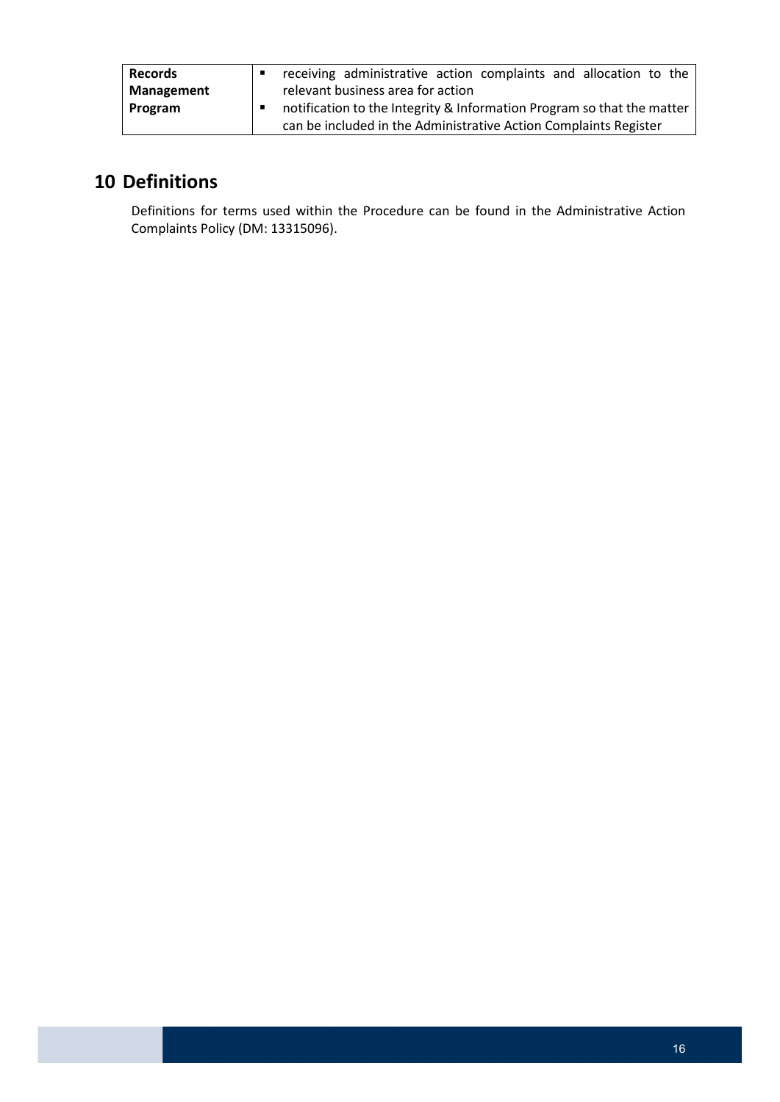| <b>Records</b>    |                                                                        | receiving administrative action complaints and allocation to the |  |  |  |  |
|-------------------|------------------------------------------------------------------------|------------------------------------------------------------------|--|--|--|--|
| <b>Management</b> |                                                                        | relevant business area for action                                |  |  |  |  |
| Program           | notification to the Integrity & Information Program so that the matter |                                                                  |  |  |  |  |
|                   |                                                                        | can be included in the Administrative Action Complaints Register |  |  |  |  |

# <span id="page-15-0"></span>**10 Definitions**

Definitions for terms used within the Procedure can be found in the Administrative Action Complaints Policy (DM: 13315096).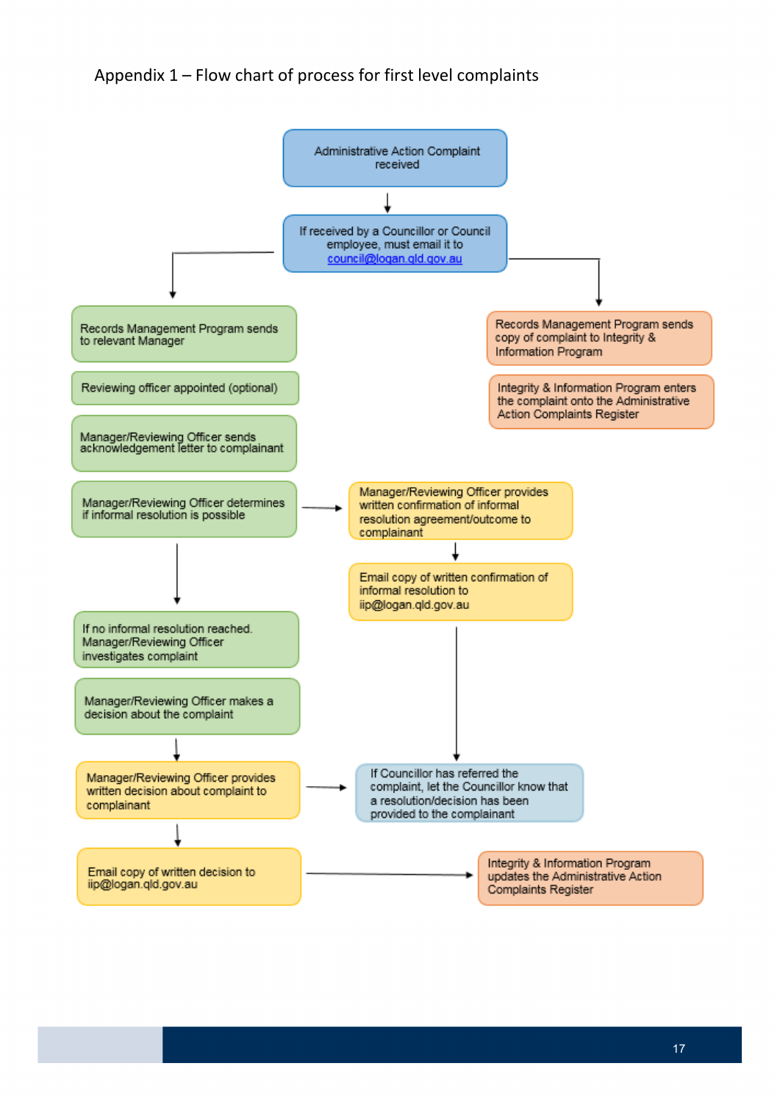# <span id="page-16-0"></span>Appendix 1 – Flow chart of process for first level complaints